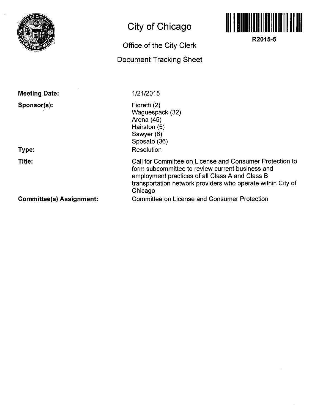

## **City of Chicago**

## **Office of the City Clerk**

## **Document Tracking Sheet**



**R2015-5** 

| <b>Meeting Date:</b>            | 1/21/2015                                                                                                                                                                                                                                 |
|---------------------------------|-------------------------------------------------------------------------------------------------------------------------------------------------------------------------------------------------------------------------------------------|
| Sponsor(s):<br>Type:            | Fioretti (2)<br>Waguespack (32)<br>Arena (45)<br>Hairston (5)<br>Sawyer (6)<br>Sposato (36)<br>Resolution                                                                                                                                 |
| Title:                          | Call for Committee on License and Consumer Protection to<br>form subcommittee to review current business and<br>employment practices of all Class A and Class B<br>transportation network providers who operate within City of<br>Chicago |
| <b>Committee(s) Assignment:</b> | Committee on License and Consumer Protection                                                                                                                                                                                              |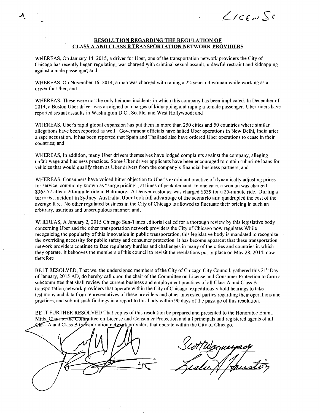$L$ ICENSE

## **RESOLUTION REGARDING THE REGULATION OF CLASS A AND CLASS B TRANSPORTATION NETWORK PROVIDERS**

WHEREAS, On January 14, 2015, a driver for Uber, one of the transportation network providers the City of Chicago has recently began regulating, was charged with criminal sexual assault, unlawful restraint and kidnapping against a male passenger; and

WHEREAS, On November 16, 2014, a man was charged with raping a 22-year-old woman while working as a driver for Uber; and

WHEREAS, These were not the only heinous incidents in which this company has been implicated. In December of 2014, a Boston Uber driver was arraigned on charges of kidnapping and raping a female passenger. Uber riders have reported sexual assaults in Washington D.C., Seattle, and West Hollywood; and

WHEREAS, Uber's rapid global expansion has put them in more than 250 cities and 50 countries where similar allegations have been reported as well. Government officials have halted Uber operations in New Delhi, India after a rape accusation. It has been reported that Spain and Thailand also.have ordered Uber operations to cease in their countries; and

WHEREAS, In addition, many Uber drivers themselves have lodged complaints against the company, alleging unfair wage and business practices. Some Uber driver applicants have been encouraged to obtain subprime loans for vehicles that would qualify them as Uber drivers from the company's financial business partners; and

WHEREAS, Consumers have voiced bitter objection to Uber's exorbitant practice of dynamically adjusting prices for service, commonly known as "surge pricing", at times of peak demand. In one case, a woman was charged \$362.57 after a 20-minute ride in Baltimore. A Denver customer was charged \$539 for a 25-minute ride. During a terrorist incident in Sydney, Australia, Uber took full advantage of the scenario and quadrupled the cost of the average fare. No other regulated business in the City of Chicago is allowed to fiuctuate their pricing in such an arbitrary, usurious and unscrupulous manner; and.

WHEREAS, A January 2, 2015 Chicago Sun-Times editorial called for a thorough review by this legislative body conceming Uber and the other transportation network providers the City of Chicago now regulates While recognizing the popularity of this innovation in public transportation, this legislative body is mandated to recognize the overriding necessity for public safety and consumer protection. It has become apparent that these transportation network providers continue to face regulatory hurdles and challenges in many of the cities and countries in which they operate. It behooves the members of this council to revisit the regulations put in place on May 28, 2014; now therefore

BE IT RESOLVED, That we, the undersigned members of the City of Chicago City Council, gathered this 21<sup>st</sup> Day of January, 2015 AD, do hereby call upon the chair of the Committee on License and Consumer Protection to form a subcommittee that shall review the current business and employment practices of all Class A and Class B transportation.network providers that operate within the City of Chicago, expeditiously hold hearings to take testimony and data from representatives of these providers and other interested parties regarding their operations and practices, and submit such findings in a report to this body within 90 days of the passage of this resolution.

BE IT FURTHER RESOLVED That copies of this resolution be prepared and presented to the Honorable Emma Mitts, Chair of the Committee on License and Consumer Protection and all principals and registered agents of all Class A and Class B transportation network providers that operate within the City of Chicago.

 $\mathcal{A}_\gamma$ 

ScottWoguespacy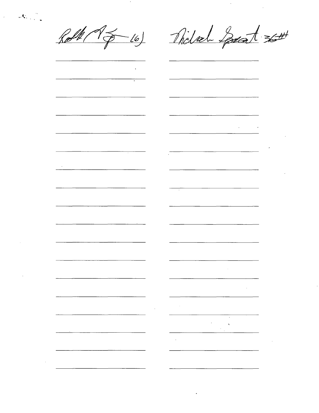$\sim 10^{-1}$ 

 $\sim 10^{-11}$ 

 $\sqrt{2}$ 

Roll 15-16) Nichola Sparat 36#

 $\frac{1}{2}$ 

| $\sim 100$ km s $^{-1}$  |                                                           |                                                           |                                                                                                                         |
|--------------------------|-----------------------------------------------------------|-----------------------------------------------------------|-------------------------------------------------------------------------------------------------------------------------|
|                          |                                                           |                                                           |                                                                                                                         |
|                          |                                                           |                                                           |                                                                                                                         |
| $\overline{\cdot}$       |                                                           |                                                           |                                                                                                                         |
|                          |                                                           |                                                           |                                                                                                                         |
|                          |                                                           |                                                           |                                                                                                                         |
|                          |                                                           |                                                           |                                                                                                                         |
|                          |                                                           |                                                           |                                                                                                                         |
|                          | u.                                                        |                                                           | -                                                                                                                       |
|                          |                                                           |                                                           |                                                                                                                         |
|                          |                                                           |                                                           |                                                                                                                         |
|                          |                                                           |                                                           |                                                                                                                         |
|                          |                                                           |                                                           |                                                                                                                         |
|                          |                                                           |                                                           |                                                                                                                         |
|                          |                                                           |                                                           |                                                                                                                         |
|                          |                                                           |                                                           |                                                                                                                         |
|                          |                                                           |                                                           |                                                                                                                         |
|                          |                                                           |                                                           | $\mathcal{L}(\mathcal{L})$ and $\mathcal{L}(\mathcal{L})$ and $\mathcal{L}(\mathcal{L})$ and $\mathcal{L}(\mathcal{L})$ |
|                          |                                                           |                                                           |                                                                                                                         |
|                          | $\overline{\phantom{0}}$                                  |                                                           |                                                                                                                         |
|                          |                                                           |                                                           |                                                                                                                         |
|                          |                                                           |                                                           |                                                                                                                         |
|                          |                                                           |                                                           |                                                                                                                         |
|                          |                                                           |                                                           | $\mathcal{L}_{\text{max}}$ and $\mathcal{L}_{\text{max}}$                                                               |
|                          |                                                           |                                                           |                                                                                                                         |
| $\overline{\mathcal{A}}$ |                                                           |                                                           |                                                                                                                         |
|                          |                                                           |                                                           |                                                                                                                         |
|                          |                                                           |                                                           |                                                                                                                         |
|                          |                                                           |                                                           |                                                                                                                         |
| $\sigma_{\rm{max}}$      |                                                           |                                                           |                                                                                                                         |
|                          |                                                           |                                                           |                                                                                                                         |
|                          |                                                           |                                                           |                                                                                                                         |
|                          |                                                           |                                                           |                                                                                                                         |
|                          |                                                           |                                                           |                                                                                                                         |
|                          |                                                           |                                                           |                                                                                                                         |
|                          |                                                           |                                                           |                                                                                                                         |
|                          |                                                           | $\overline{a}$                                            |                                                                                                                         |
|                          |                                                           |                                                           |                                                                                                                         |
|                          |                                                           |                                                           |                                                                                                                         |
|                          |                                                           |                                                           |                                                                                                                         |
|                          |                                                           |                                                           |                                                                                                                         |
|                          |                                                           |                                                           |                                                                                                                         |
|                          |                                                           |                                                           |                                                                                                                         |
|                          |                                                           |                                                           |                                                                                                                         |
|                          |                                                           |                                                           |                                                                                                                         |
|                          |                                                           |                                                           |                                                                                                                         |
|                          | $\overline{\phantom{0}}$                                  |                                                           |                                                                                                                         |
|                          |                                                           |                                                           |                                                                                                                         |
|                          |                                                           |                                                           |                                                                                                                         |
|                          |                                                           |                                                           |                                                                                                                         |
|                          |                                                           |                                                           |                                                                                                                         |
|                          |                                                           |                                                           |                                                                                                                         |
|                          |                                                           |                                                           |                                                                                                                         |
|                          |                                                           |                                                           |                                                                                                                         |
|                          |                                                           |                                                           |                                                                                                                         |
|                          |                                                           |                                                           |                                                                                                                         |
|                          |                                                           |                                                           |                                                                                                                         |
|                          |                                                           |                                                           |                                                                                                                         |
|                          |                                                           |                                                           |                                                                                                                         |
|                          |                                                           |                                                           |                                                                                                                         |
|                          |                                                           | <b>Contract Administration</b>                            |                                                                                                                         |
|                          |                                                           |                                                           |                                                                                                                         |
|                          |                                                           |                                                           |                                                                                                                         |
|                          |                                                           |                                                           |                                                                                                                         |
|                          |                                                           |                                                           |                                                                                                                         |
|                          |                                                           |                                                           |                                                                                                                         |
|                          |                                                           |                                                           | $\sim$                                                                                                                  |
|                          |                                                           |                                                           |                                                                                                                         |
|                          |                                                           |                                                           |                                                                                                                         |
|                          |                                                           |                                                           |                                                                                                                         |
|                          |                                                           |                                                           |                                                                                                                         |
|                          |                                                           |                                                           |                                                                                                                         |
|                          |                                                           |                                                           |                                                                                                                         |
|                          | $\mathcal{L}_{\text{max}}$ and $\mathcal{L}_{\text{max}}$ | $\mathcal{L}_{\text{max}}$ and $\mathcal{L}_{\text{max}}$ |                                                                                                                         |
|                          |                                                           |                                                           |                                                                                                                         |
|                          |                                                           |                                                           |                                                                                                                         |
|                          |                                                           | $\sim 10^{-1}$                                            |                                                                                                                         |
|                          |                                                           | $\bullet$                                                 |                                                                                                                         |
|                          |                                                           | $\Delta$                                                  |                                                                                                                         |
|                          |                                                           |                                                           |                                                                                                                         |
|                          |                                                           | $\mathcal{F}_{\mathcal{A}}$                               |                                                                                                                         |
|                          |                                                           |                                                           |                                                                                                                         |
|                          |                                                           |                                                           |                                                                                                                         |
|                          |                                                           | <b>All Contractor</b>                                     |                                                                                                                         |
|                          |                                                           |                                                           |                                                                                                                         |
|                          |                                                           |                                                           |                                                                                                                         |
|                          |                                                           |                                                           |                                                                                                                         |
|                          |                                                           |                                                           |                                                                                                                         |
|                          |                                                           |                                                           |                                                                                                                         |
|                          |                                                           |                                                           |                                                                                                                         |
|                          |                                                           |                                                           |                                                                                                                         |
|                          |                                                           |                                                           |                                                                                                                         |

 $\mathcal{L}(\mathcal{L}^{\mathcal{L}})$  and  $\mathcal{L}(\mathcal{L}^{\mathcal{L}})$  and  $\mathcal{L}(\mathcal{L}^{\mathcal{L}})$